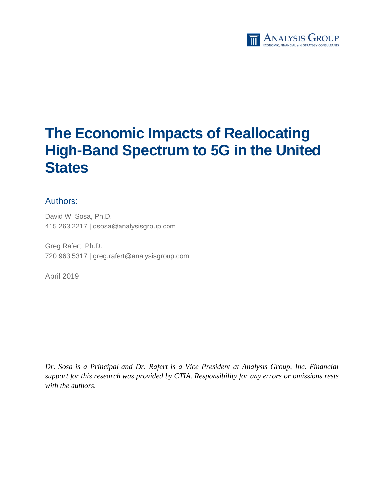

# **The Economic Impacts of Reallocating High-Band Spectrum to 5G in the United States**

# Authors:

David W. Sosa, Ph.D. 415 263 2217 | dsosa@analysisgroup.com

Greg Rafert, Ph.D. 720 963 5317 | greg.rafert@analysisgroup.com

April 2019

*Dr. Sosa is a Principal and Dr. Rafert is a Vice President at Analysis Group, Inc. Financial support for this research was provided by CTIA. Responsibility for any errors or omissions rests with the authors.*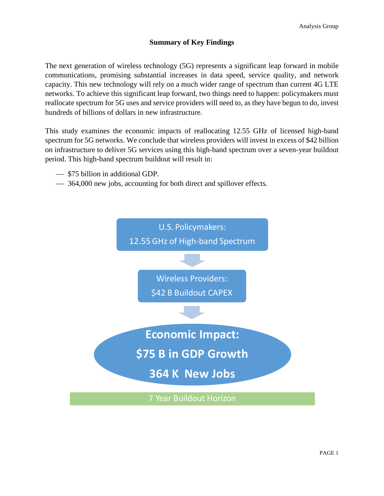### **Summary of Key Findings**

The next generation of wireless technology (5G) represents a significant leap forward in mobile communications, promising substantial increases in data speed, service quality, and network capacity. This new technology will rely on a much wider range of spectrum than current 4G LTE networks. To achieve this significant leap forward, two things need to happen: policymakers must reallocate spectrum for 5G uses and service providers will need to, as they have begun to do, invest hundreds of billions of dollars in new infrastructure.

This study examines the economic impacts of reallocating 12.55 GHz of licensed high-band spectrum for 5G networks. We conclude that wireless providers will invest in excess of \$42 billion on infrastructure to deliver 5G services using this high-band spectrum over a seven-year buildout period. This high-band spectrum buildout will result in:

- $\sim$  \$75 billion in additional GDP.
- $\sim$  364,000 new jobs, accounting for both direct and spillover effects.

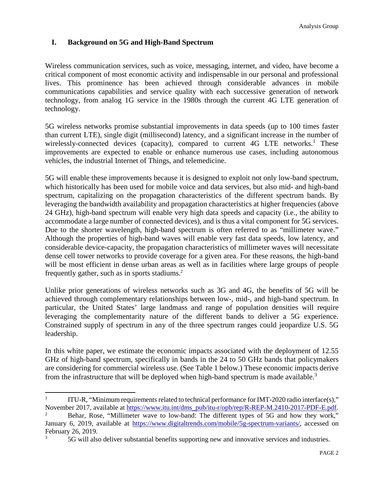## **I. Background on 5G and High-Band Spectrum**

Wireless communication services, such as voice, messaging, internet, and video, have become a critical component of most economic activity and indispensable in our personal and professional lives. This prominence has been achieved through considerable advances in mobile communications capabilities and service quality with each successive generation of network technology, from analog 1G service in the 1980s through the current 4G LTE generation of technology.

5G wireless networks promise substantial improvements in data speeds (up to 100 times faster than current LTE), single digit (millisecond) latency, and a significant increase in the number of wirelessly-connected devices (capacity), compared to current 4G LTE networks.<sup>1</sup> These improvements are expected to enable or enhance numerous use cases, including autonomous vehicles, the industrial Internet of Things, and telemedicine.

5G will enable these improvements because it is designed to exploit not only low-band spectrum, which historically has been used for mobile voice and data services, but also mid- and high-band spectrum, capitalizing on the propagation characteristics of the different spectrum bands. By leveraging the bandwidth availability and propagation characteristics at higher frequencies (above 24 GHz), high-band spectrum will enable very high data speeds and capacity (i.e., the ability to accommodate a large number of connected devices), and is thus a vital component for 5G services. Due to the shorter wavelength, high-band spectrum is often referred to as "millimeter wave." Although the properties of high-band waves will enable very fast data speeds, low latency, and considerable device-capacity, the propagation characteristics of millimeter waves will necessitate dense cell tower networks to provide coverage for a given area. For these reasons, the high-band will be most efficient in dense urban areas as well as in facilities where large groups of people frequently gather, such as in sports stadiums.<sup>2</sup>

Unlike prior generations of wireless networks such as 3G and 4G, the benefits of 5G will be achieved through complementary relationships between low-, mid-, and high-band spectrum. In particular, the United States' large landmass and range of population densities will require leveraging the complementarity nature of the different bands to deliver a 5G experience. Constrained supply of spectrum in any of the three spectrum ranges could jeopardize U.S. 5G leadership.

In this white paper, we estimate the economic impacts associated with the deployment of 12.55 GHz of high-band spectrum, specifically in bands in the 24 to 50 GHz bands that policymakers are considering for commercial wireless use. (See Table 1 below.) These economic impacts derive from the infrastructure that will be deployed when high-band spectrum is made available.<sup>3</sup>

<sup>1</sup> ITU-R, "Minimum requirements related to technical performance for IMT-2020 radio interface(s)," November 2017, available at https://www.itu.int/dms\_pub/itu-r/opb/rep/R-REP-M.2410-2017-PDF-E.pdf.

<sup>2</sup> Behar, Rose, "Millimeter wave to low-band: The different types of 5G and how they work," January 6, 2019, available at https://www.digitaltrends.com/mobile/5g-spectrum-variants/, accessed on February 26, 2019.<br> $rac{3}{5}$   $rac{5}{2}$  will also

<sup>3</sup> 5G will also deliver substantial benefits supporting new and innovative services and industries.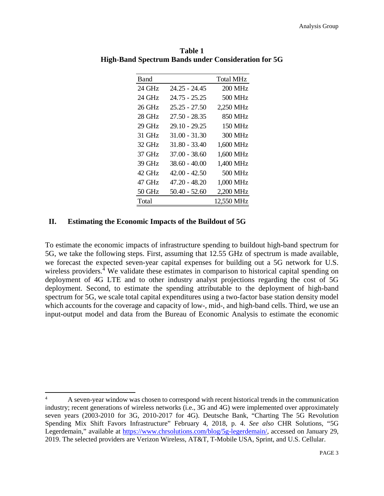| Band   |                 | <b>Total MHz</b> |
|--------|-----------------|------------------|
| 24 GHz | 24.25 - 24.45   | <b>200 MHz</b>   |
| 24 GHz | $24.75 - 25.25$ | 500 MHz          |
| 26 GHz | $25.25 - 27.50$ | 2,250 MHz        |
| 28 GHz | 27.50 - 28.35   | 850 MHz          |
| 29 GHz | 29.10 - 29.25   | 150 MHz          |
| 31 GHz | $31.00 - 31.30$ | 300 MHz          |
| 32 GHz | $31.80 - 33.40$ | 1,600 MHz        |
| 37 GHz | $37.00 - 38.60$ | 1,600 MHz        |
| 39 GHz | $38.60 - 40.00$ | 1,400 MHz        |
| 42 GHz | $42.00 - 42.50$ | 500 MHz          |
| 47 GHz | 47.20 - 48.20   | 1,000 MHz        |
| 50 GHz | $50.40 - 52.60$ | 2,200 MHz        |
| Total  |                 | 12,550 MHz       |

**Table 1 High-Band Spectrum Bands under Consideration for 5G** 

#### **II. Estimating the Economic Impacts of the Buildout of 5G**

To estimate the economic impacts of infrastructure spending to buildout high-band spectrum for 5G, we take the following steps. First, assuming that 12.55 GHz of spectrum is made available, we forecast the expected seven-year capital expenses for building out a 5G network for U.S. wireless providers.<sup>4</sup> We validate these estimates in comparison to historical capital spending on deployment of 4G LTE and to other industry analyst projections regarding the cost of 5G deployment. Second, to estimate the spending attributable to the deployment of high-band spectrum for 5G, we scale total capital expenditures using a two-factor base station density model which accounts for the coverage and capacity of low-, mid-, and high-band cells. Third, we use an input-output model and data from the Bureau of Economic Analysis to estimate the economic

<sup>&</sup>lt;sup>4</sup> A seven-year window was chosen to correspond with recent historical trends in the communication industry; recent generations of wireless networks (i.e., 3G and 4G) were implemented over approximately seven years (2003-2010 for 3G, 2010-2017 for 4G). Deutsche Bank, "Charting The 5G Revolution Spending Mix Shift Favors Infrastructure" February 4, 2018, p. 4. *See also* CHR Solutions, "5G Legerdemain," available at https://www.chrsolutions.com/blog/5g-legerdemain/, accessed on January 29, 2019. The selected providers are Verizon Wireless, AT&T, T-Mobile USA, Sprint, and U.S. Cellular.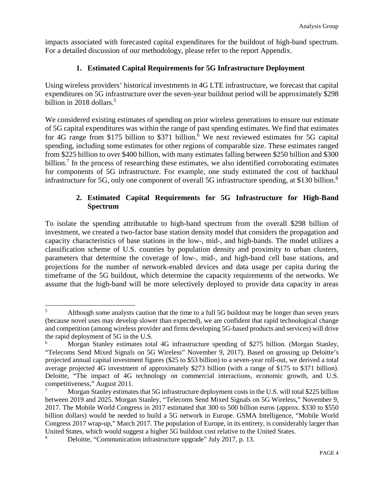impacts associated with forecasted capital expenditures for the buildout of high-band spectrum. For a detailed discussion of our methodology, please refer to the report Appendix.

#### **1. Estimated Capital Requirements for 5G Infrastructure Deployment**

Using wireless providers' historical investments in 4G LTE infrastructure, we forecast that capital expenditures on 5G infrastructure over the seven-year buildout period will be approximately \$298 billion in 2018 dollars. $5$ 

We considered existing estimates of spending on prior wireless generations to ensure our estimate of 5G capital expenditures was within the range of past spending estimates. We find that estimates for 4G range from \$175 billion to \$371 billion.<sup>6</sup> We next reviewed estimates for 5G capital spending, including some estimates for other regions of comparable size. These estimates ranged from \$225 billion to over \$400 billion, with many estimates falling between \$250 billion and \$300 billion.<sup>7</sup> In the process of researching these estimates, we also identified corroborating estimates for components of 5G infrastructure. For example, one study estimated the cost of backhaul infrastructure for 5G, only one component of overall 5G infrastructure spending, at \$130 billion.<sup>8</sup>

## **2. Estimated Capital Requirements for 5G Infrastructure for High-Band Spectrum**

To isolate the spending attributable to high-band spectrum from the overall \$298 billion of investment, we created a two-factor base station density model that considers the propagation and capacity characteristics of base stations in the low-, mid-, and high-bands. The model utilizes a classification scheme of U.S. counties by population density and proximity to urban clusters, parameters that determine the coverage of low-, mid-, and high-band cell base stations, and projections for the number of network-enabled devices and data usage per capita during the timeframe of the 5G buildout, which determine the capacity requirements of the networks. We assume that the high-band will be more selectively deployed to provide data capacity in areas

<sup>&</sup>lt;sup>5</sup> Although some analysts caution that the time to a full 5G buildout may be longer than seven years (because novel uses may develop slower than expected), we are confident that rapid technological change and competition (among wireless provider and firms developing 5G-based products and services) will drive the rapid deployment of 5G in the U.S.

<sup>&</sup>lt;sup>6</sup> Morgan Stanley estimates total 4G infrastructure spending of \$275 billion. (Morgan Stanley, "Telecoms Send Mixed Signals on 5G Wireless" November 9, 2017). Based on grossing up Deloitte's projected annual capital investment figures (\$25 to \$53 billion) to a seven-year roll-out, we derived a total average projected 4G investment of approximately \$273 billion (with a range of \$175 to \$371 billion). Deloitte, "The impact of 4G technology on commercial interactions, economic growth, and U.S. competitiveness," August 2011.

<sup>7</sup> Morgan Stanley estimates that 5G infrastructure deployment costs in the U.S. will total \$225 billion between 2019 and 2025. Morgan Stanley, "Telecoms Send Mixed Signals on 5G Wireless," November 9, 2017. The Mobile World Congress in 2017 estimated that 300 to 500 billion euros (approx. \$330 to \$550 billion dollars) would be needed to build a 5G network in Europe. GSMA Intelligence, "Mobile World Congress 2017 wrap-up," March 2017. The population of Europe, in its entirety, is considerably larger than United States, which would suggest a higher 5G buildout cost relative to the United States.<br><sup>8</sup> Deloitte "Communication infrastructure upgrade" July 2017, p. 13.

<sup>8</sup> Deloitte, "Communication infrastructure upgrade" July 2017, p. 13.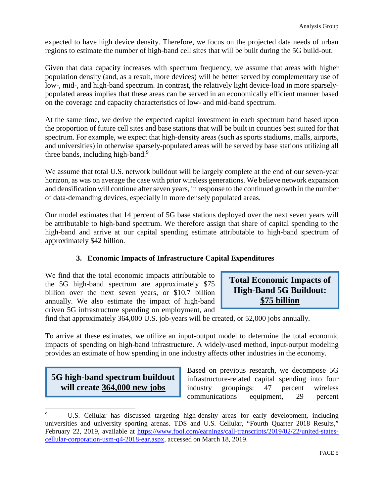expected to have high device density. Therefore, we focus on the projected data needs of urban regions to estimate the number of high-band cell sites that will be built during the 5G build-out.

Given that data capacity increases with spectrum frequency, we assume that areas with higher population density (and, as a result, more devices) will be better served by complementary use of low-, mid-, and high-band spectrum. In contrast, the relatively light device-load in more sparselypopulated areas implies that these areas can be served in an economically efficient manner based on the coverage and capacity characteristics of low- and mid-band spectrum.

At the same time, we derive the expected capital investment in each spectrum band based upon the proportion of future cell sites and base stations that will be built in counties best suited for that spectrum. For example, we expect that high-density areas (such as sports stadiums, malls, airports, and universities) in otherwise sparsely-populated areas will be served by base stations utilizing all three bands, including high-band.<sup>9</sup>

We assume that total U.S. network buildout will be largely complete at the end of our seven-year horizon, as was on average the case with prior wireless generations. We believe network expansion and densification will continue after seven years, in response to the continued growth in the number of data-demanding devices, especially in more densely populated areas.

Our model estimates that 14 percent of 5G base stations deployed over the next seven years will be attributable to high-band spectrum. We therefore assign that share of capital spending to the high-band and arrive at our capital spending estimate attributable to high-band spectrum of approximately \$42 billion.

# **3. Economic Impacts of Infrastructure Capital Expenditures**

We find that the total economic impacts attributable to the 5G high-band spectrum are approximately \$75 billion over the next seven years, or \$10.7 billion annually. We also estimate the impact of high-band driven 5G infrastructure spending on employment, and

**Total Economic Impacts of High-Band 5G Buildout: \$75 billion** 

find that approximately 364,000 U.S. job-years will be created, or 52,000 jobs annually.

To arrive at these estimates, we utilize an input-output model to determine the total economic impacts of spending on high-band infrastructure. A widely-used method, input-output modeling provides an estimate of how spending in one industry affects other industries in the economy.

# **5G high-band spectrum buildout will create 364,000 new jobs**

Based on previous research, we decompose 5G infrastructure-related capital spending into four industry groupings: 47 percent wireless communications equipment, 29 percent

U.S. Cellular has discussed targeting high-density areas for early development, including universities and university sporting arenas. TDS and U.S. Cellular, "Fourth Quarter 2018 Results," February 22, 2019, available at https://www.fool.com/earnings/call-transcripts/2019/02/22/united-statescellular-corporation-usm-q4-2018-ear.aspx, accessed on March 18, 2019.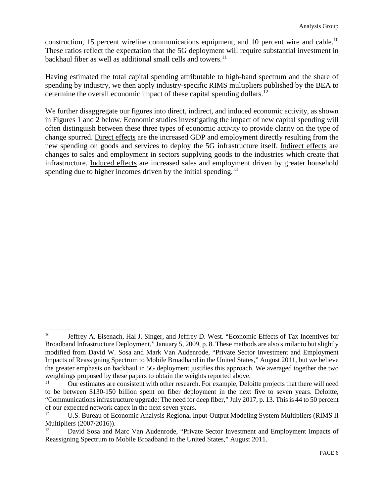construction, 15 percent wireline communications equipment, and 10 percent wire and cable.<sup>10</sup> These ratios reflect the expectation that the 5G deployment will require substantial investment in backhaul fiber as well as additional small cells and towers. $^{11}$ 

Having estimated the total capital spending attributable to high-band spectrum and the share of spending by industry, we then apply industry-specific RIMS multipliers published by the BEA to determine the overall economic impact of these capital spending dollars.<sup>12</sup>

We further disaggregate our figures into direct, indirect, and induced economic activity, as shown in Figures 1 and 2 below. Economic studies investigating the impact of new capital spending will often distinguish between these three types of economic activity to provide clarity on the type of change spurred. Direct effects are the increased GDP and employment directly resulting from the new spending on goods and services to deploy the 5G infrastructure itself. Indirect effects are changes to sales and employment in sectors supplying goods to the industries which create that infrastructure. Induced effects are increased sales and employment driven by greater household spending due to higher incomes driven by the initial spending.<sup>13</sup>

<sup>&</sup>lt;sup>10</sup> Jeffrey A. Eisenach, Hal J. Singer, and Jeffrey D. West. "Economic Effects of Tax Incentives for Broadband Infrastructure Deployment," January 5, 2009, p. 8. These methods are also similar to but slightly modified from David W. Sosa and Mark Van Audenrode, "Private Sector Investment and Employment Impacts of Reassigning Spectrum to Mobile Broadband in the United States," August 2011, but we believe the greater emphasis on backhaul in 5G deployment justifies this approach. We averaged together the two weightings proposed by these papers to obtain the weights reported above.<br><sup>11</sup> Our estimates are consistent with other research. For example, Delo

Our estimates are consistent with other research. For example, Deloitte projects that there will need to be between \$130-150 billion spent on fiber deployment in the next five to seven years. Deloitte, "Communications infrastructure upgrade: The need for deep fiber," July 2017, p. 13. This is 44 to 50 percent of our expected network capex in the next seven years.

U.S. Bureau of Economic Analysis Regional Input-Output Modeling System Multipliers (RIMS II Multipliers (2007/2016)).

<sup>13</sup> David Sosa and Marc Van Audenrode, "Private Sector Investment and Employment Impacts of Reassigning Spectrum to Mobile Broadband in the United States," August 2011.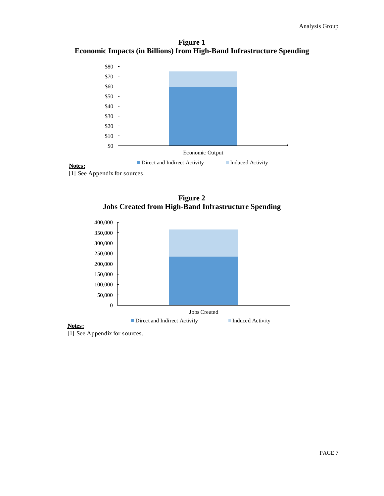**Figure 1 Economic Impacts (in Billions) from High-Band Infrastructure Spending** 



#### [1] See Appendix for sources.





[1] See Appendix for sources.

**Notes:**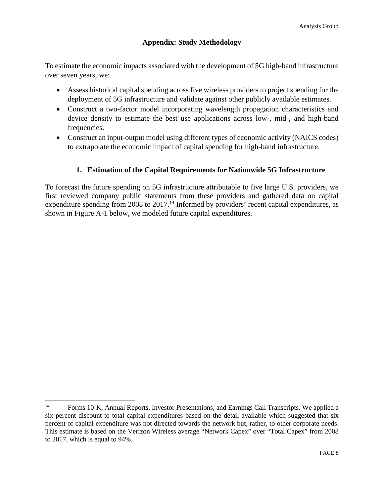## **Appendix: Study Methodology**

To estimate the economic impacts associated with the development of 5G high-band infrastructure over seven years, we:

- Assess historical capital spending across five wireless providers to project spending for the deployment of 5G infrastructure and validate against other publicly available estimates.
- Construct a two-factor model incorporating wavelength propagation characteristics and device density to estimate the best use applications across low-, mid-, and high-band frequencies.
- Construct an input-output model using different types of economic activity (NAICS codes) to extrapolate the economic impact of capital spending for high-band infrastructure.

# **1. Estimation of the Capital Requirements for Nationwide 5G Infrastructure**

To forecast the future spending on 5G infrastructure attributable to five large U.S. providers, we first reviewed company public statements from these providers and gathered data on capital expenditure spending from 2008 to  $2017<sup>14</sup>$  Informed by providers' recent capital expenditures, as shown in Figure A-1 below, we modeled future capital expenditures.

<sup>&</sup>lt;sup>14</sup> Forms 10-K, Annual Reports, Investor Presentations, and Earnings Call Transcripts. We applied a six percent discount to total capital expenditures based on the detail available which suggested that six percent of capital expenditure was not directed towards the network but, rather, to other corporate needs. This estimate is based on the Verizon Wireless average "Network Capex" over "Total Capex" from 2008 to 2017, which is equal to 94%.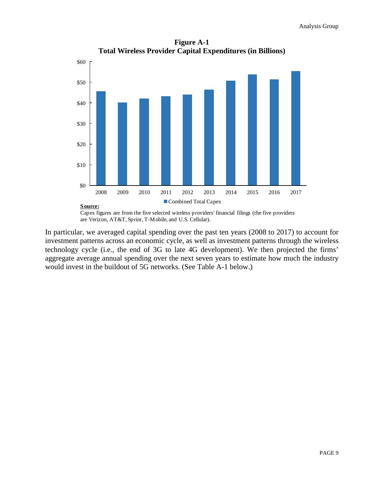**Figure A-1 Total Wireless Provider Capital Expenditures (in Billions)** 



In particular, we averaged capital spending over the past ten years (2008 to 2017) to account for investment patterns across an economic cycle, as well as investment patterns through the wireless technology cycle (i.e., the end of 3G to late 4G development). We then projected the firms' aggregate average annual spending over the next seven years to estimate how much the industry would invest in the buildout of 5G networks. (See Table A-1 below.)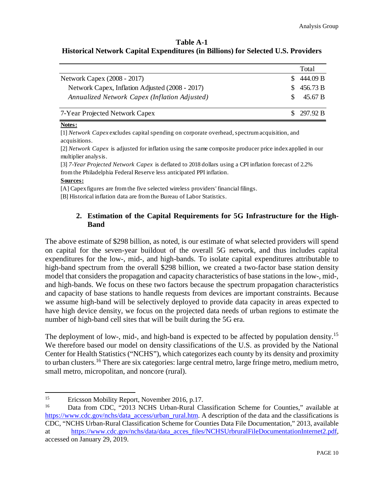#### **Table A-1 Historical Network Capital Expenditures (in Billions) for Selected U.S. Providers**

|                                                 |  | Total      |
|-------------------------------------------------|--|------------|
| Network Capex (2008 - 2017)                     |  | 444.09 B   |
| Network Capex, Inflation Adjusted (2008 - 2017) |  | 456.73 B   |
| Annualized Network Capex (Inflation Adjusted)   |  | 45.67 B    |
| 7-Year Projected Network Capex                  |  | \$297.92 B |

#### **Notes:**

[1] *Network Capex* excludes capital spending on corporate overhead, spectrum acquisition, and acquisitions.

[2] *Network Capex* is adjusted for inflation using the same composite producer price index applied in our multiplier analysis.

[3] *7-Year Projected Network Capex* is deflated to 2018 dollars using a CPI inflation forecast of 2.2% from the Philadelphia Federal Reserve less anticipated PPI inflation.

#### **Sources:**

[A] Capex figures are from the five selected wireless providers' financial filings.

[B] Historical inflation data are from the Bureau of Labor Statistics.

#### **2. Estimation of the Capital Requirements for 5G Infrastructure for the High-Band**

The above estimate of \$298 billion, as noted, is our estimate of what selected providers will spend on capital for the seven-year buildout of the overall 5G network, and thus includes capital expenditures for the low-, mid-, and high-bands. To isolate capital expenditures attributable to high-band spectrum from the overall \$298 billion, we created a two-factor base station density model that considers the propagation and capacity characteristics of base stations in the low-, mid-, and high-bands. We focus on these two factors because the spectrum propagation characteristics and capacity of base stations to handle requests from devices are important constraints. Because we assume high-band will be selectively deployed to provide data capacity in areas expected to have high device density, we focus on the projected data needs of urban regions to estimate the number of high-band cell sites that will be built during the 5G era.

The deployment of low-, mid-, and high-band is expected to be affected by population density.<sup>15</sup> We therefore based our model on density classifications of the U.S. as provided by the National Center for Health Statistics ("NCHS"), which categorizes each county by its density and proximity to urban clusters.<sup>16</sup> There are six categories: large central metro, large fringe metro, medium metro, small metro, micropolitan, and noncore (rural).

<sup>&</sup>lt;sup>15</sup> Ericsson Mobility Report, November 2016, p.17.

<sup>&</sup>lt;sup>16</sup> Data from CDC, "2013 NCHS Urban-Rural Classification Scheme for Counties," available at https://www.cdc.gov/nchs/data\_access/urban\_rural.htm. A description of the data and the classifications is

CDC, "NCHS Urban-Rural Classification Scheme for Counties Data File Documentation," 2013, available at https://www.cdc.gov/nchs/data/data\_acces\_files/NCHSUrbruralFileDocumentationInternet2.pdf, accessed on January 29, 2019.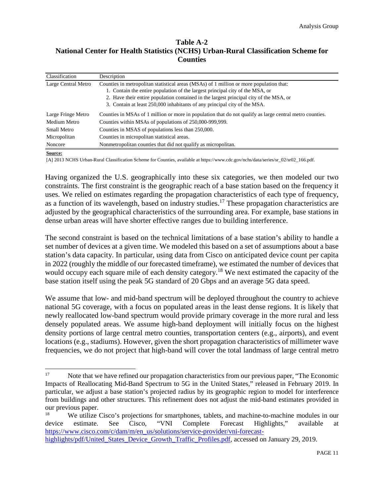#### **Table A-2 National Center for Health Statistics (NCHS) Urban-Rural Classification Scheme for Counties**

| Classification      | Description                                                                                              |
|---------------------|----------------------------------------------------------------------------------------------------------|
| Large Central Metro | Counties in metropolitan statistical areas (MSAs) of 1 million or more population that:                  |
|                     | 1. Contain the entire population of the largest principal city of the MSA, or                            |
|                     | 2. Have their entire population contained in the largest principal city of the MSA, or                   |
|                     | 3. Contain at least 250,000 inhabitants of any principal city of the MSA.                                |
| Large Fringe Metro  | Counties in MSAs of 1 million or more in population that do not qualify as large central metro counties. |
| Medium Metro        | Counties within MSAs of populations of 250,000-999,999.                                                  |
| <b>Small Metro</b>  | Counties in MSAS of populations less than 250,000.                                                       |
| Micropolitan        | Counties in micropolitan statistical areas.                                                              |
| Noncore             | Nonmetropolitan counties that did not qualify as micropolitan.                                           |

**Source:**

[A] 2013 NCHS Urban-Rural Classification Scheme for Counties, available at https://www.cdc.gov/nchs/data/series/sr\_02/sr02\_166.pdf.

Having organized the U.S. geographically into these six categories, we then modeled our two constraints. The first constraint is the geographic reach of a base station based on the frequency it uses. We relied on estimates regarding the propagation characteristics of each type of frequency, as a function of its wavelength, based on industry studies.<sup>17</sup> These propagation characteristics are adjusted by the geographical characteristics of the surrounding area. For example, base stations in dense urban areas will have shorter effective ranges due to building interference.

The second constraint is based on the technical limitations of a base station's ability to handle a set number of devices at a given time. We modeled this based on a set of assumptions about a base station's data capacity. In particular, using data from Cisco on anticipated device count per capita in 2022 (roughly the middle of our forecasted timeframe), we estimated the number of devices that would occupy each square mile of each density category.<sup>18</sup> We next estimated the capacity of the base station itself using the peak 5G standard of 20 Gbps and an average 5G data speed.

We assume that low- and mid-band spectrum will be deployed throughout the country to achieve national 5G coverage, with a focus on populated areas in the least dense regions. It is likely that newly reallocated low-band spectrum would provide primary coverage in the more rural and less densely populated areas. We assume high-band deployment will initially focus on the highest density portions of large central metro counties, transportation centers (e.g., airports), and event locations (e.g., stadiums). However, given the short propagation characteristics of millimeter wave frequencies, we do not project that high-band will cover the total landmass of large central metro

<sup>&</sup>lt;sup>17</sup> Note that we have refined our propagation characteristics from our previous paper, "The Economic Impacts of Reallocating Mid-Band Spectrum to 5G in the United States," released in February 2019. In particular, we adjust a base station's projected radius by its geographic region to model for interference from buildings and other structures. This refinement does not adjust the mid-band estimates provided in our previous paper.

<sup>&</sup>lt;sup>18</sup> We utilize Cisco's projections for smartphones, tablets, and machine-to-machine modules in our device estimate. See Cisco, "VNI Complete Forecast Highlights," available at https://www.cisco.com/c/dam/m/en\_us/solutions/service-provider/vni-forecasthighlights/pdf/United States Device Growth Traffic Profiles.pdf, accessed on January 29, 2019.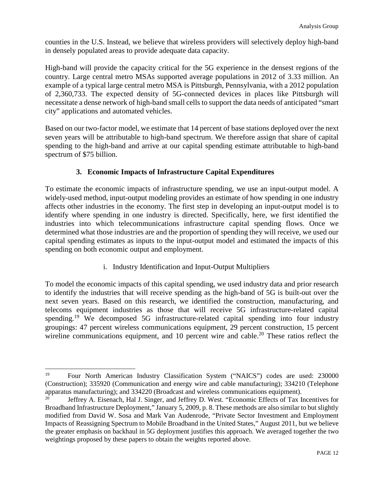counties in the U.S. Instead, we believe that wireless providers will selectively deploy high-band in densely populated areas to provide adequate data capacity.

High-band will provide the capacity critical for the 5G experience in the densest regions of the country. Large central metro MSAs supported average populations in 2012 of 3.33 million. An example of a typical large central metro MSA is Pittsburgh, Pennsylvania, with a 2012 population of 2,360,733. The expected density of 5G-connected devices in places like Pittsburgh will necessitate a dense network of high-band small cells to support the data needs of anticipated "smart city" applications and automated vehicles.

Based on our two-factor model, we estimate that 14 percent of base stations deployed over the next seven years will be attributable to high-band spectrum. We therefore assign that share of capital spending to the high-band and arrive at our capital spending estimate attributable to high-band spectrum of \$75 billion.

### **3. Economic Impacts of Infrastructure Capital Expenditures**

To estimate the economic impacts of infrastructure spending, we use an input-output model. A widely-used method, input-output modeling provides an estimate of how spending in one industry affects other industries in the economy. The first step in developing an input-output model is to identify where spending in one industry is directed. Specifically, here, we first identified the industries into which telecommunications infrastructure capital spending flows. Once we determined what those industries are and the proportion of spending they will receive, we used our capital spending estimates as inputs to the input-output model and estimated the impacts of this spending on both economic output and employment.

i. Industry Identification and Input-Output Multipliers

To model the economic impacts of this capital spending, we used industry data and prior research to identify the industries that will receive spending as the high-band of 5G is built-out over the next seven years. Based on this research, we identified the construction, manufacturing, and telecoms equipment industries as those that will receive 5G infrastructure-related capital spending.<sup>19</sup> We decomposed 5G infrastructure-related capital spending into four industry groupings: 47 percent wireless communications equipment, 29 percent construction, 15 percent wireline communications equipment, and 10 percent wire and cable.<sup>20</sup> These ratios reflect the

<sup>19</sup> Four North American Industry Classification System ("NAICS") codes are used: 230000 (Construction); 335920 (Communication and energy wire and cable manufacturing); 334210 (Telephone apparatus manufacturing); and 334220 (Broadcast and wireless communications equipment).

<sup>&</sup>lt;sup>20</sup> Jeffrey A. Eisenach, Hal J. Singer, and Jeffrey D. West. "Economic Effects of Tax Incentives for Broadband Infrastructure Deployment," January 5, 2009, p. 8. These methods are also similar to but slightly modified from David W. Sosa and Mark Van Audenrode, "Private Sector Investment and Employment Impacts of Reassigning Spectrum to Mobile Broadband in the United States," August 2011, but we believe the greater emphasis on backhaul in 5G deployment justifies this approach. We averaged together the two weightings proposed by these papers to obtain the weights reported above.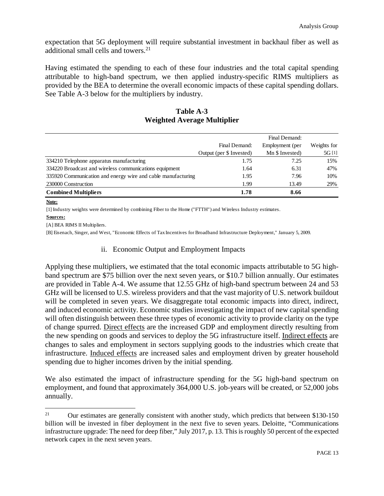expectation that 5G deployment will require substantial investment in backhaul fiber as well as additional small cells and towers.<sup>21</sup>

Having estimated the spending to each of these four industries and the total capital spending attributable to high-band spectrum, we then applied industry-specific RIMS multipliers as provided by the BEA to determine the overall economic impacts of these capital spending dollars. See Table A-3 below for the multipliers by industry.

| Table A-3                   |  |  |
|-----------------------------|--|--|
| Weighted Average Multiplier |  |  |

|                                                              | Final Demand:            | Employment (per | Weights for |
|--------------------------------------------------------------|--------------------------|-----------------|-------------|
|                                                              | Output (per \$ Invested) | Mn \$ Invested) | 5G [1]      |
| 334210 Telephone apparatus manufacturing                     | 1.75                     | 7.25            | 15%         |
| 334220 Broadcast and wireless communications equipment       | 1.64                     | 6.31            | 47%         |
| 335920 Communication and energy wire and cable manufacturing | 1.95                     | 7.96            | 10%         |
| 230000 Construction                                          | 1.99                     | 13.49           | 29%         |
| <b>Combined Multipliers</b>                                  | 1.78                     | 8.66            |             |

#### **Note:**

[1] Industry weights were determined by combining Fiber to the Home ("FTTH") and Wireless Industry estimates.

#### **Sources:**

[A] BEA RIMS II Multipliers.

[B] Eisenach, Singer, and West, "Economic Effects of Tax Incentives for Broadband Infrastructure Deployment," January 5, 2009.

#### ii. Economic Output and Employment Impacts

Applying these multipliers, we estimated that the total economic impacts attributable to 5G highband spectrum are \$75 billion over the next seven years, or \$10.7 billion annually. Our estimates are provided in Table A-4. We assume that 12.55 GHz of high-band spectrum between 24 and 53 GHz will be licensed to U.S. wireless providers and that the vast majority of U.S. network buildout will be completed in seven years. We disaggregate total economic impacts into direct, indirect, and induced economic activity. Economic studies investigating the impact of new capital spending will often distinguish between these three types of economic activity to provide clarity on the type of change spurred. Direct effects are the increased GDP and employment directly resulting from the new spending on goods and services to deploy the 5G infrastructure itself. Indirect effects are changes to sales and employment in sectors supplying goods to the industries which create that infrastructure. Induced effects are increased sales and employment driven by greater household spending due to higher incomes driven by the initial spending.

We also estimated the impact of infrastructure spending for the 5G high-band spectrum on employment, and found that approximately 364,000 U.S. job-years will be created, or 52,000 jobs annually.

<sup>&</sup>lt;sup>21</sup> Our estimates are generally consistent with another study, which predicts that between \$130-150 billion will be invested in fiber deployment in the next five to seven years. Deloitte, "Communications infrastructure upgrade: The need for deep fiber," July 2017, p. 13. This is roughly 50 percent of the expected network capex in the next seven years.